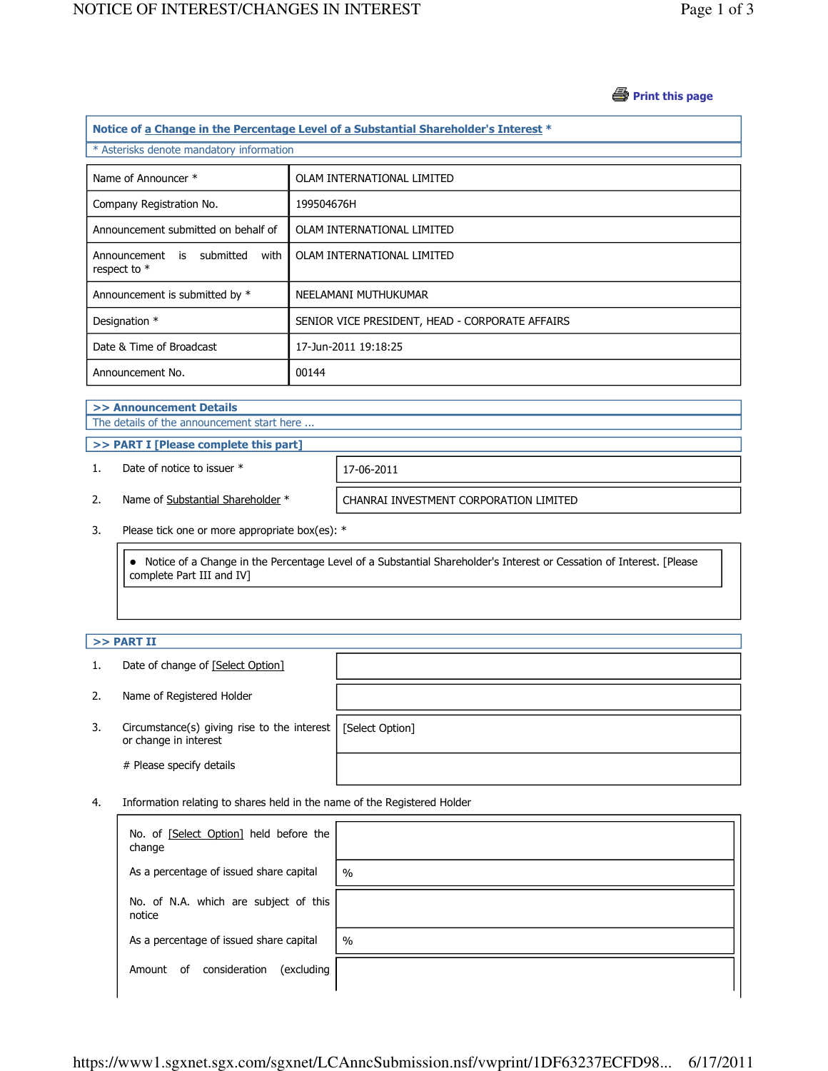## *A* Print this page

| Notice of a Change in the Percentage Level of a Substantial Shareholder's Interest * |                                                 |  |  |  |
|--------------------------------------------------------------------------------------|-------------------------------------------------|--|--|--|
| * Asterisks denote mandatory information                                             |                                                 |  |  |  |
| Name of Announcer *                                                                  | OLAM INTERNATIONAL LIMITED                      |  |  |  |
| Company Registration No.                                                             | 199504676H                                      |  |  |  |
| Announcement submitted on behalf of                                                  | OLAM INTERNATIONAL LIMITED                      |  |  |  |
| Announcement is submitted<br>with<br>respect to $*$                                  | OLAM INTERNATIONAL LIMITED                      |  |  |  |
| Announcement is submitted by *                                                       | NEELAMANI MUTHUKUMAR                            |  |  |  |
| Designation *                                                                        | SENIOR VICE PRESIDENT, HEAD - CORPORATE AFFAIRS |  |  |  |
| Date & Time of Broadcast                                                             | 17-Jun-2011 19:18:25                            |  |  |  |
| Announcement No.                                                                     | 00144                                           |  |  |  |

## >> Announcement Details

The details of the announcement start here ...

>> PART I [Please complete this part]

1. Date of notice to issuer  $*$  17-06-2011

2. Name of Substantial Shareholder \* CHANRAI INVESTMENT CORPORATION LIMITED

3. Please tick one or more appropriate box(es): \*

 Notice of a Change in the Percentage Level of a Substantial Shareholder's Interest or Cessation of Interest. [Please complete Part III and IV]

## $>>$  PART II

- 1. Date of change of [Select Option]
- 2. Name of Registered Holder
- 3. Circumstance(s) giving rise to the interest [Select Option] or change in interest

# Please specify details

4. Information relating to shares held in the name of the Registered Holder

| No. of [Select Option] held before the<br>change |      |
|--------------------------------------------------|------|
| As a percentage of issued share capital          | $\%$ |
| No. of N.A. which are subject of this<br>notice  |      |
| As a percentage of issued share capital          | $\%$ |
| consideration<br>(excluding<br>0f<br>Amount      |      |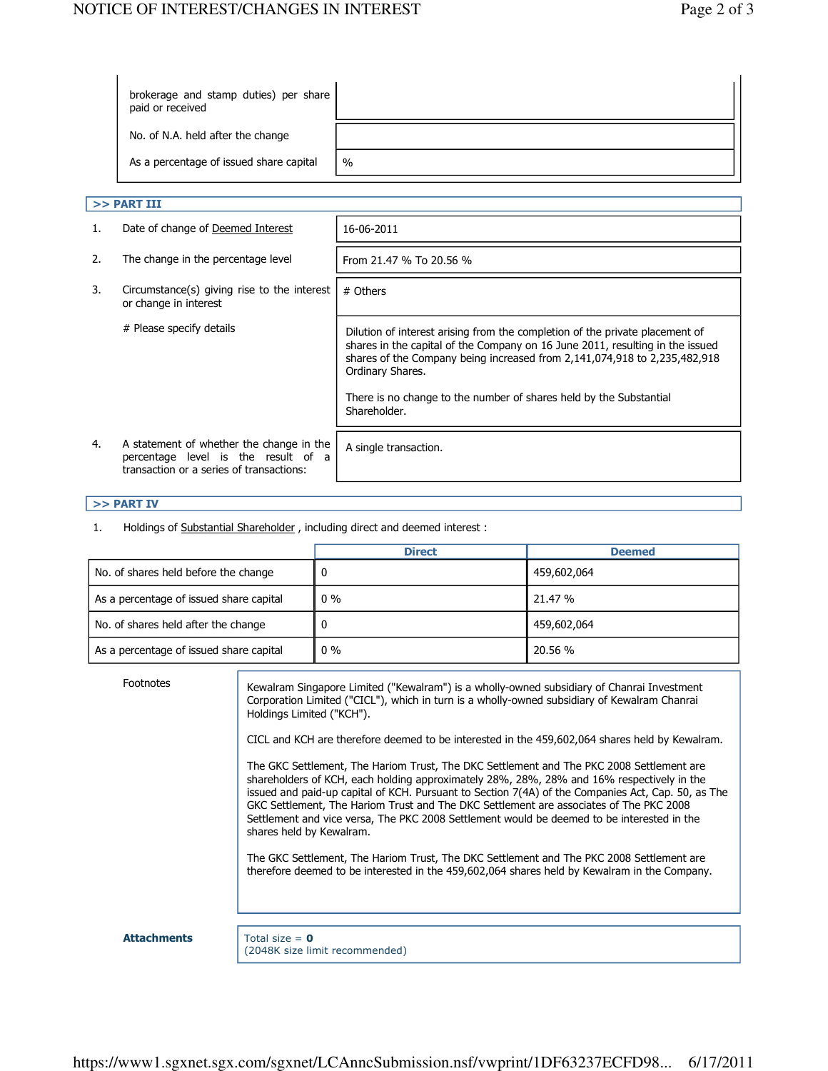| No. of N.A. held after the change<br>$\frac{0}{0}$ | brokerage and stamp duties) per share<br>paid or received |  |
|----------------------------------------------------|-----------------------------------------------------------|--|
|                                                    |                                                           |  |
|                                                    | As a percentage of issued share capital                   |  |

| >> PART III |                                                                                                                             |                                                                                                                                                                                                                                                                |
|-------------|-----------------------------------------------------------------------------------------------------------------------------|----------------------------------------------------------------------------------------------------------------------------------------------------------------------------------------------------------------------------------------------------------------|
| 1.          | Date of change of Deemed Interest                                                                                           | 16-06-2011                                                                                                                                                                                                                                                     |
| 2.          | The change in the percentage level                                                                                          | From 21.47 % To 20.56 %                                                                                                                                                                                                                                        |
| 3.          | Circumstance(s) giving rise to the interest<br>or change in interest                                                        | # Others                                                                                                                                                                                                                                                       |
|             | # Please specify details                                                                                                    | Dilution of interest arising from the completion of the private placement of<br>shares in the capital of the Company on 16 June 2011, resulting in the issued<br>shares of the Company being increased from 2,141,074,918 to 2,235,482,918<br>Ordinary Shares. |
|             |                                                                                                                             | There is no change to the number of shares held by the Substantial<br>Shareholder.                                                                                                                                                                             |
| 4.          | A statement of whether the change in the<br>percentage level is the result of a<br>transaction or a series of transactions: | A single transaction.                                                                                                                                                                                                                                          |

## >> PART IV

1. Holdings of Substantial Shareholder, including direct and deemed interest :

|                                         | <b>Direct</b> | <b>Deemed</b> |
|-----------------------------------------|---------------|---------------|
| No. of shares held before the change    | 0             | 459,602,064   |
| As a percentage of issued share capital | $0\%$         | 21.47 %       |
| No. of shares held after the change     | 0             | 459,602,064   |
| As a percentage of issued share capital | $0\%$         | 20.56 %       |

| <b>Footnotes</b>   | Kewalram Singapore Limited ("Kewalram") is a wholly-owned subsidiary of Chanrai Investment<br>Corporation Limited ("CICL"), which in turn is a wholly-owned subsidiary of Kewalram Chanrai<br>Holdings Limited ("KCH").                                                                                                                                                                                                                                                                                         |
|--------------------|-----------------------------------------------------------------------------------------------------------------------------------------------------------------------------------------------------------------------------------------------------------------------------------------------------------------------------------------------------------------------------------------------------------------------------------------------------------------------------------------------------------------|
|                    | CICL and KCH are therefore deemed to be interested in the 459,602,064 shares held by Kewalram.                                                                                                                                                                                                                                                                                                                                                                                                                  |
|                    | The GKC Settlement, The Hariom Trust, The DKC Settlement and The PKC 2008 Settlement are<br>shareholders of KCH, each holding approximately 28%, 28%, 28% and 16% respectively in the<br>issued and paid-up capital of KCH. Pursuant to Section 7(4A) of the Companies Act, Cap. 50, as The<br>GKC Settlement, The Hariom Trust and The DKC Settlement are associates of The PKC 2008<br>Settlement and vice versa, The PKC 2008 Settlement would be deemed to be interested in the<br>shares held by Kewalram. |
|                    | The GKC Settlement, The Hariom Trust, The DKC Settlement and The PKC 2008 Settlement are<br>therefore deemed to be interested in the 459,602,064 shares held by Kewalram in the Company.                                                                                                                                                                                                                                                                                                                        |
|                    |                                                                                                                                                                                                                                                                                                                                                                                                                                                                                                                 |
| <b>Attachments</b> | Total size = $\theta$<br>(2048K size limit recommended)                                                                                                                                                                                                                                                                                                                                                                                                                                                         |